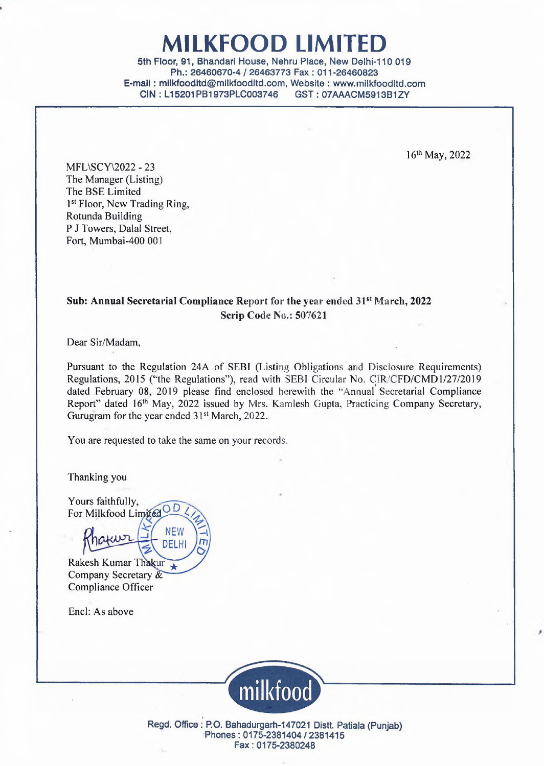# MILKFOOD LIMITED

5th Floor, 91, Bhandari House, Nehru Place, New Delhi-110 019 Ph.: 26460670-4 / 26463773 Fax : 011-26460823 E-mail: milkfoodltd@milkfoodltd.com, Website : www.milkfoodltd.com CIN : L15201PB1973PLC003746

16th May, 2022

MFL\SCY\2022 - 23 The Manager (Listing) The BSE Limited 1<sup>st</sup> Floor, New Trading Ring, Rotunda Building P J Towers, Dalal Street, Fort, Mumbai-400 001

### **Sub: Annual Secretarial Compliance Report for the year ended 31st March, 2022 Scrip Code No.: 507621**

Dear Sir/Madam,

Pursuant to the Regulation 24A of SEBI (Listing Obligations and Disclosure Requirements) Regulations, 2015 (''the Regulations''), read with SEBI Circular No. CIR/CFD/CMD1/27/2019 dated February 08, 2019 please find enclosed herewith the ''Annual Secretarial Compliance Report" dated 16<sup>th</sup> May, 2022 issued by Mrs. Kamlesh Gupta, Practicing Company Secretary, Gurugram for the year ended 31<sup>st</sup> March, 2022.

You are requested to take the same on your records.

NEW DELHI

Thanking you

Yours faithfully, For Milkfood LimitedOD

Rakesh Kumar Thakur $\overline{\star}$ Company Secretary & Compliance Officer

wr

Encl: As above



Regd. Office : P.O. Bahadurgarh-147021 Distt. Patiala (Punjab) Phones: 0175-2381404/2381415 Fax: 0175-2380248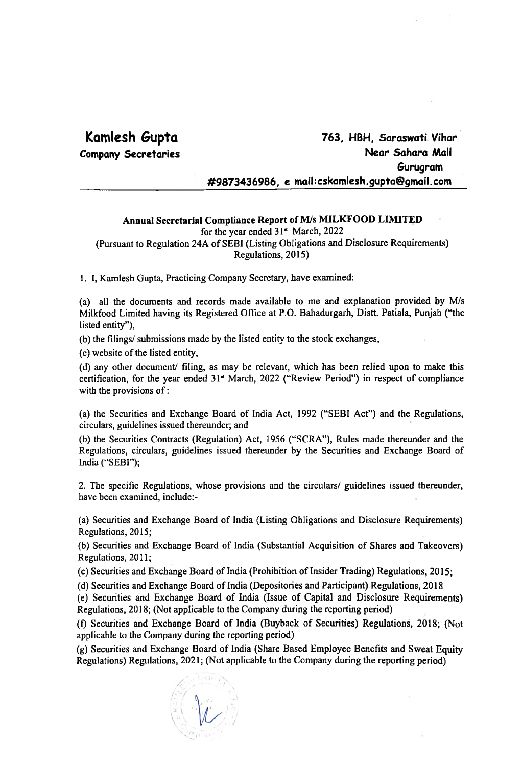## **Kamlesh Gupta**

**Company Secretaries**

### **763, HBH, Saraswati Vihar Near Sahara Mall Gurugram #9873436986, e maihcskamlesh.gupta@gmail.com**

#### **Annual Secretarial Compliance Report of M/s MILKFOOD LIMITED**

for the year ended 31" March, 2022

(Pursuant to Regulation 24A of SEBI (Listing Obligations and Disclosure Requirements) Regulations, 2015)

1. I, Kamlesh Gupta, Practicing Company Secretary, have examined:

(a) all the documents and records made available to me and explanation provided by M/s Milkfood Limited having its Registered Office at P.O. Bahadurgarh, Distt. Patiala, Punjab ("the listed entity"),

(b) the filings/ submissions made by the listed entity to the stock exchanges,

(c) website of the listed entity,

(d) any other document/ filing, as may be relevant, which has been relied upon to make this certification, for the year ended 31" March, 2022 ("Review Period") in respect of compliance with the provisions of:

(a) the Securities and Exchange Board of India Act, 1992 ("SEBI Act") and the Regulations, circulars, guidelines issued thereunder; and

(b) the Securities Contracts (Regulation) Act, 1956 ("SCRA"), Rules made thereunder and the Regulations, circulars, guidelines issued thereunder by the Securities and Exchange Board of India ("SEBI");

2. The specific Regulations, whose provisions and the circulars/ guidelines issued thereunder, have been examined, include:-

(a) Securities and Exchange Board of India (Listing Obligations and Disclosure Requirements) Regulations, 2015;

(b) Securities and Exchange Board of India (Substantial Acquisition of Shares and Takeovers) Regulations, 2011;

 $(c)$  Securities and Exchange Board of India (Prohibition of Insider Trading) Regulations, 2015;

(d) Securities and Exchange Board of India (Depositories and Participant) Regulations, 2018

(e) Securities and Exchange Board of India (Issue of Capital and Disclosure Requirements) Regulations, 2018; (Not applicable to the Company during the reporting period)

(f) Securities and Exchange Board of India (Buyback of Securities) Regulations, 2018; (Not applicable to the Company during the reporting period)

(g) Securities and Exchange Board of India (Share Based Employee Benefits and Sweat Equity Regulations) Regulations, 2021; (Not applicable to the Company during the reporting period)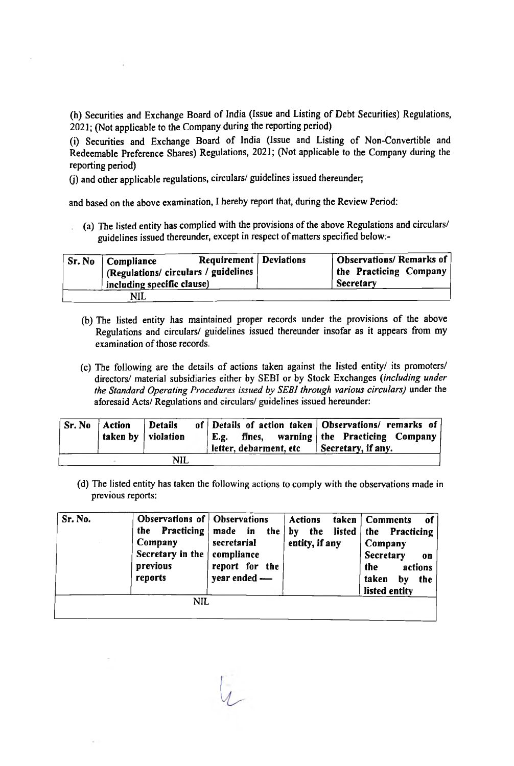(h) Securities and Exchange Board of India (Issue and Listing of Debt Securities) Regulations, 2021; (Not applicable to the Company during the reporting period)

(i) Securities and Exchange Board of India (Issue and Listing of Non-Convertible and Redeemable Preference Shares) Regulations, 2021; (Not applicable to the Company during the reporting period)

(j) and other applicable regulations, circulars/ guidelines issued thereunder;

and based on the above examination, I hereby report that, during the Review Period:

(a) The listed entity has complied with the provisions of the above Regulations and circulars/ guidelines issued thereunder, except in respect of matters specified below:-

| Requirement   Deviations<br>$\sqrt{S}$ r. No $\sqrt{S}$ Compliance<br>  (Regulations/ circulars / guidelines )<br>including specific clause) | $^\text{!}$ Observations/ Remarks of $\mid$<br>the Practicing Company<br><b>Secretary</b> |
|----------------------------------------------------------------------------------------------------------------------------------------------|-------------------------------------------------------------------------------------------|
| NIL                                                                                                                                          |                                                                                           |

- (b) The listed entity has maintained proper records under the provisions of the above Regulations and circulars/ guidelines issued thereunder insofar as it appears from my examination of those records.
- (c) The following are the details of actions taken against the listed entity/ its promoters/ directors/ material subsidiaries either by SEBI or by Stock Exchanges *(including under the Standard Operating Procedures issued by SEBI through various circulars)* under the aforesaid Acts/ Regulations and circulars/ guidelines issued hereunder:

| $\vert$ Sr. No $\vert$ Action | taken by   violation | Details | E.g.<br>letter, debarment, etc | of Details of action taken   Observations/ remarks of  <br>fines, warning the Practicing Company<br>$\blacksquare$ Secretary, if any. |
|-------------------------------|----------------------|---------|--------------------------------|---------------------------------------------------------------------------------------------------------------------------------------|
|                               |                      | NIL     |                                |                                                                                                                                       |

(d) The listed entity has taken the following actions to comply with the observations made in previous reports:

| Sr. No. | <b>Observations of Observations</b><br><b>Practicing</b><br>the<br>Company<br>Secretary in the<br>previous<br>reports | made in the<br>secretarial<br>compliance<br>report for the<br>year ended - | <b>Actions</b><br>listed  <br>the<br>by<br>entity, if any | taken   Comments<br>- of<br>the<br><b>Practicing</b><br>Company<br>Secretary<br>$\bf{0}$<br>the.<br>actions<br>taken<br>by<br>the<br>listed entity |
|---------|-----------------------------------------------------------------------------------------------------------------------|----------------------------------------------------------------------------|-----------------------------------------------------------|----------------------------------------------------------------------------------------------------------------------------------------------------|
|         | NIL                                                                                                                   |                                                                            |                                                           |                                                                                                                                                    |